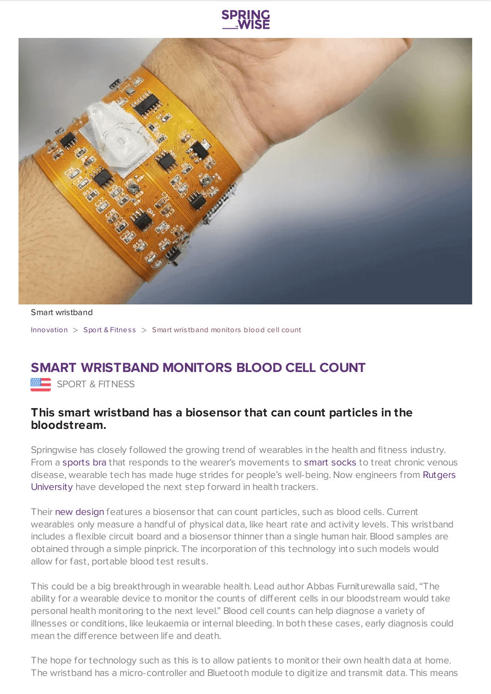



Smart wristband

[Innovation](https://www.springwise.com/search?type=innovation) > Sport & [Fitnes](https://www.springwise.com/search?type=innovation§or=sport-fitness) s > Smart wris tband monitors blood cell count

## **SMART WRISTBAND MONITORS BLOOD CELL COUNT**

**EEE** SPORT & FITNESS

## **This smart wristband has a biosensor that can count particles in the bloodstream.**

Springwise has closely followed the growing trend of wearables in the health and fitness industry. From a [sports](https://www.springwise.com/space-inspired-sports-bra-adjusts-to-movement/) bra that responds to the wearer's movements to smart [socks](https://www.springwise.com/smart-socks-to-treat-chronic-venous-disease/) to treat chronic venous disease, wearable tech has made huge strides for people's [well-being.](https://newbrunswick.rutgers.edu/) Now engineers from Rutgers University have developed the next step forward in health trackers.

Their new [design](https://news.rutgers.edu/smart-wristband-wireless-link-smartphones-could-monitor-health-environmental-exposures/20180806#.W2xV-VVKiUl) features a biosensor that can count particles, such as blood cells. Current wearables only measure a handful of physical data, like heart rate and activity levels. This wristband includes a flexible circuit board and a biosensor thinner than a single human hair. Blood samples are obtained through a simple pinprick. The incorporation of this technology into such models would allow for fast, portable blood test results.

This could be a big breakthrough in wearable health. Lead author Abbas Furniturewalla said, "The ability for a wearable device to monitor the counts of different cells in our bloodstream would take personal health monitoring to the next level." Blood cell counts can help diagnose a variety of illnesses or conditions, like leukaemia or internal bleeding. In both these cases, early diagnosis could mean the difference between life and death.

The hope for technology such as this is to allow patients to monitor their own health data at home. The wristband has a micro-controller and Bluetooth module to digitize and transmit data. This means